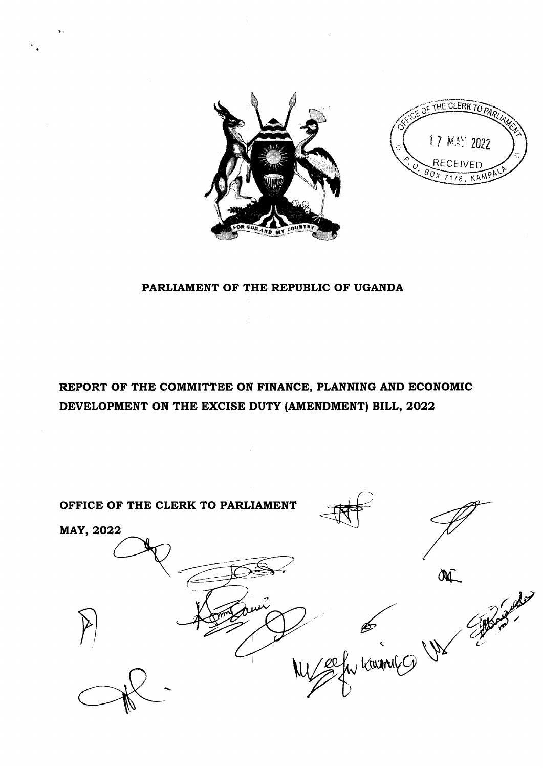

THE CLERK TO  $g_{O\chi}$  $\mathcal{L}$  $\overline{\mathcal{O}}$  RECEIVED 7178, KAMP 17 MAY 2022

## PARLIAMENT OF THE REPUBLIC OF UGANDA

REPORT OF THE COMMITTEE ON FINANCE, PLANNING AND ECONOMIC DEVELOPMENT ON THE EXCISE DUTY (AMENDMENT) BILL, 2022

OFFICE OF THE CLERK TO PARLIAMENT MAY, 2022 **ONC**  $\frac{1}{2}$  $P$ E ( V)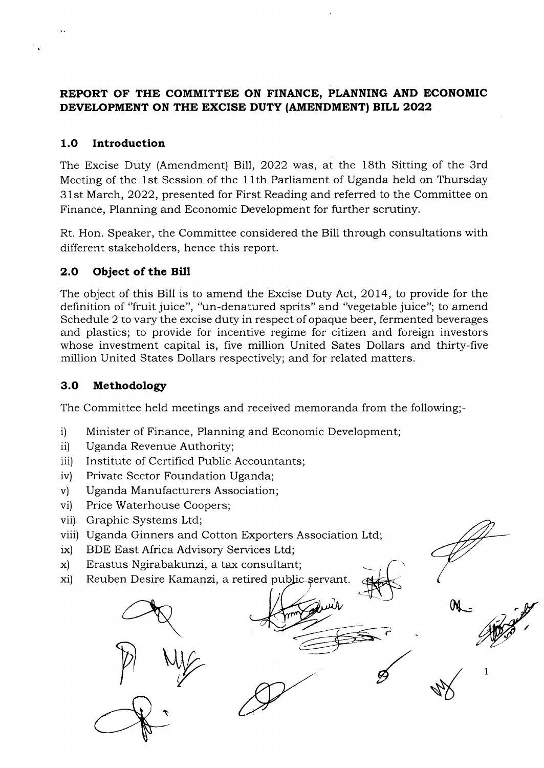## REPORT OF THE COMMITTEE ON FINANCE, PLANNING AND ECONOMIC DEVELOPMENT ON THE EXCISE DUTY (AMENDMENT) BILL 2022

## 1.O Introduction

The Excise Duty (Amendment) Bill, 2022 was, at the 18th Sitting of the 3rd Meeting of the 1st Session of the 1lth Parliament of Uganda held on Thursday 3 1st March, 2022, presented for First Reading and referred to the Committee on Finance, Planning and Economic Development for further scrutiny.

Rt. Hon. Speaker, the Committee considered the Bill through consultations with different stakeholders, hence this report.

## 2.O Object of the Bill

The object of this Bill is to amend the Excise Duty Act, 2014, to provide for the definition of "fruit juice", "un-denatured sprits" and "vegetable juice"; to amend Schedule 2 to vary the excise duty in respect of opaque beer, fermented beverages and plastics; to provide for incentive regime for citizen and foreign investors whose investment capital is, five million United Sates Dollars and thirty-five million United States Dollars respectively; and for related matters.

## 3.O Methodology

The Committee held meetings and received memoranda from the following;-

- i) Minister of Finance, Planning and Economic Development;
- ii) Uganda Revenue Authority;
- iii) Institute of Certified Public Accountants;
- iv) Private Sector Foundation Uganda;
- v) Uganda Manufacturers Association;
- vi) Price Waterhouse Coopers;
- vii) Graphic Systems Ltd;
- viii) Uganda Ginners and Cotton Exporters Association Ltd;
- BDE East Africa Advisory Services Ltd; ix)
- Erastus Ngirabakunzi, a tax consultant; x)
- xi) Reuben Desire Kamanzi, a retired public servant.

P WE \

1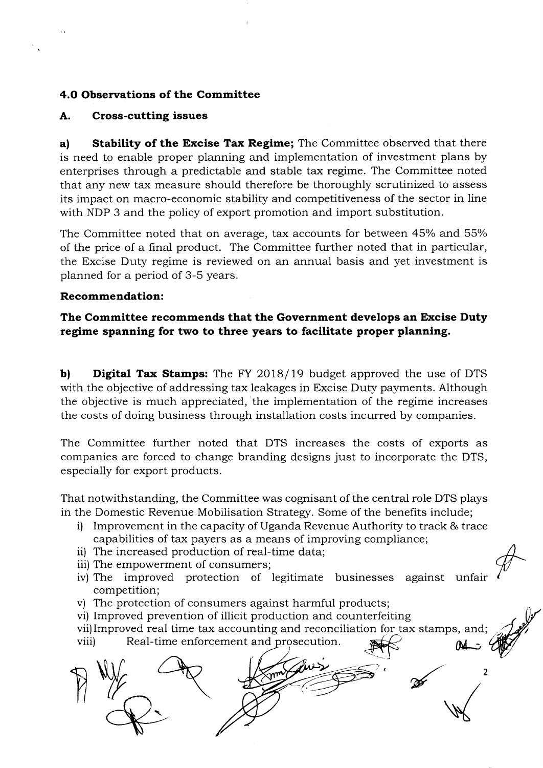## 4.0 Observations of the Committee

#### A. Cross-cutting issues

a) Stability of the Excise Tax Regime; The Committee observed that there is need to enable proper planning and implementation of investment plans by enterprises through a predictable and stable tax regime. The Committee noted that any new tax measure should therefore be thoroughly scrutinized to assess its impact on macro-economic stability and competitiveness of the sector in line with NDP 3 and the policy of export promotion and import substitution.

The Committee noted that on average, tax accounts for between 45% and 55% of the price of a final product. The Committee further noted that in particular, the Excise Duty regime is reviewed on an annual basis and yet investment is planned for a period of 3-5 years.

#### Recommendation:

## The Committee recommends that the Government develops an Excise Duty regime spanning for two to three years to facilitate proper planning.

b) Digital Tax Stamps: The FY 2018/19 budget approved the use of DTS with the objective of addressing tax leakages in Excise Duty payments. Although the objective is much appreciated, the implementation of the regime increases the costs of doing business through installation costs incurred by companies.

The Committee further noted that DTS increases the costs of exports as companies are forced to change branding designs just to incorporate the DTS, especially for export products.

That notwithstanding, the Committee was cognisant of the central role DTS plays in the Domestic Revenue Mobilisation Strategy. Some of the benefits include;

- i) Improvement in the capacity of Uganda Revenue Authority to track & trace capabilities of tax payers as a means of improving compliance;
- ii) The increased production of real-time data;
- iii) The empowerment of consumers;
- iv) The improved protection of legitimate businesses against unfair competition;
- v) The protection of consumers against harmful products;
- vi) Improved prevention of illicit production and counterfeiting
- vii)Improved real time tax accounting and reconciliation for tax stamps, and;
- Real-time enforcement and prosecution.

v) The protection of consumers against harmful products;<br>vii) Improved prevention of illicit production and counterfeiting<br>viii) Real-time enforcement and prosecution.<br> $\mathbb{R}$ ? 7, \  $\boldsymbol{z}$  $\overline{\phantom{0}}$  $\mathfrak{p}$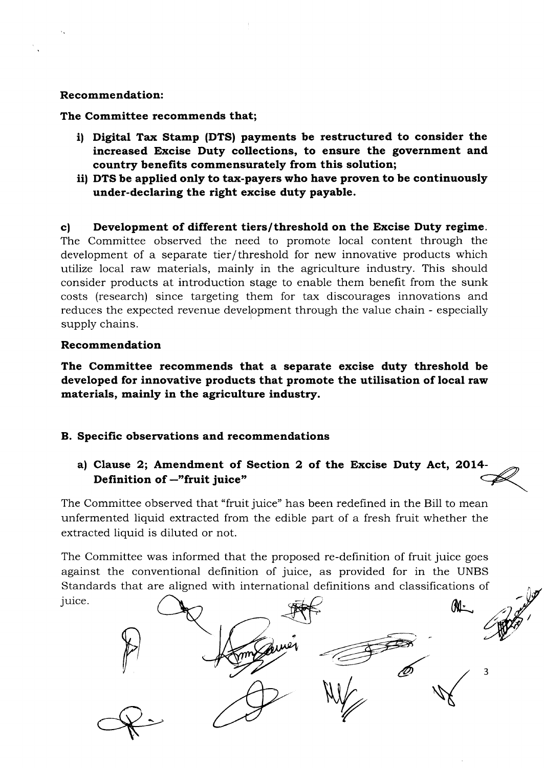#### Recommendation:

The Committee recommends that;

- i) Digital Tax Stamp (DTS) payments be restructured to consider the increased Excise Duty collections, to ensure the government and country benefits commensurately from this solution;
- iil DTS be applied only to tax-payers who have proven to be continuously under-declaring the right excise duty payable.

c) Development of different tiers/threshold on the Excise Duty regime. The Committee observed the need to promote local content through the development of a separate tier/threshold for new innovative products which utilize local raw materials, mainly in the agriculture industry. This should consider products at introduction stage to enable them benefit from the sunk costs (research) since targeting them for tax discourages innovations and reduces the expected revenue development through the value chain - especially supply chains.

#### Recommendation

The Committee recommends that a separate excise duty threshold be developed for innovative products that promote the utilisation of local raw materials, mainly in the agriculture industry.

## B. Specific observations and recommendations

a) Clause 2; Amendment of Section 2 of the Excise Duty Act, 2o14- Definition of  $-$ "fruit juice"

The Committee observed that "fruit juice" has been redefined in the Bill to mean unfermented liquid extracted from the edible part of a fresh fruit whether the extracted liquid is diluted or not.

The Committee was informed that the proposed re-definition of fruit juice goes against the conventional definition of juice, as provided for in the UNBS Standards that are aligned with international definitions and classifications of juice.

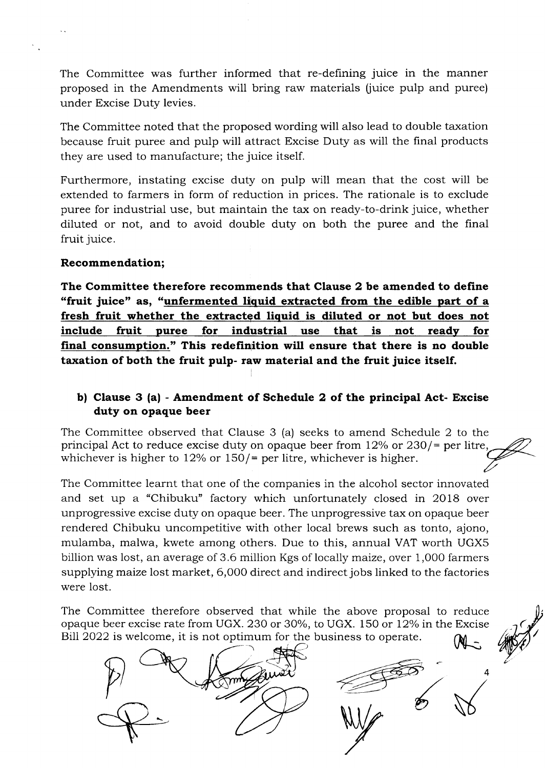The Committee was further informed that re-defining juice in the manner proposed in the Amendments will bring raw materials fiuice pulp and puree) under Excise Duty levies.

The Committee noted that the proposed wording will also lead to double taxation because fruit puree and pulp will attract Excise Duty as will the final products they are used to manufacture; the juice itself.

Furthermore, instating excise duty on pulp will mean that the cost will be extended to farmers in form of reduction in prices. The rationale is to exclude puree for industrial use, but maintain the tax on ready-to-drink juice, whether diluted or not, and to avoid double duty on both the puree and the final fruit juice.

#### Recommendation;

The Committee therefore recommends that Clause 2 be amended to define "fruit juice" as, "unfermented liquid extracted from the edible part of a fresh fruit whether the extracted liquid is diluted or not but does not include fruit puree for industrial use that is not ready for final consumption." This redefinition will ensure that there is no double taxation of both the fruit pulp- raw material and the fruit juice itself.

## b) Clause 3 (a) - Amendment of Schedule 2 of the principal Act- Excise duty on opaque beer

The Committee observed that Clause 3 (a) seeks to amend Schedule 2 to the principal Act to reduce excise duty on opaque beer from  $12\%$  or  $230$  /= per litre, whichever is higher to  $12\%$  or  $150/$ = per litre, whichever is higher.

The Committee learnt that one of the companies in the alcohol sector innovated and set up a "Chibuku" factory which unfortunately closed in 2Ol8 over unprogressive excise duty on opaque beer. The unprogressive tax on opaque beer rendered Chibuku uncompetitive with other local brews such as tonto, ajono, mulamba, malwa, kwete among others. Due to this, annual VAT worth UGXS billion was lost, an average of 3.6 million Kgs of locally maize, over 1,000 farmers supplying maize lost market, 6,000 direct and indirect jobs linked to the factories were lost.

The Committee therefore observed that while the above proposal to reduce opaque beer excise rate from UGX. 230 or 30%, to UGX. 150 or 12% in the Excise<br>Bill 2022 is welcome, it is not optimum for the business to operate. Bill 2022 is welcome, it is not optimum for the business to operate.



4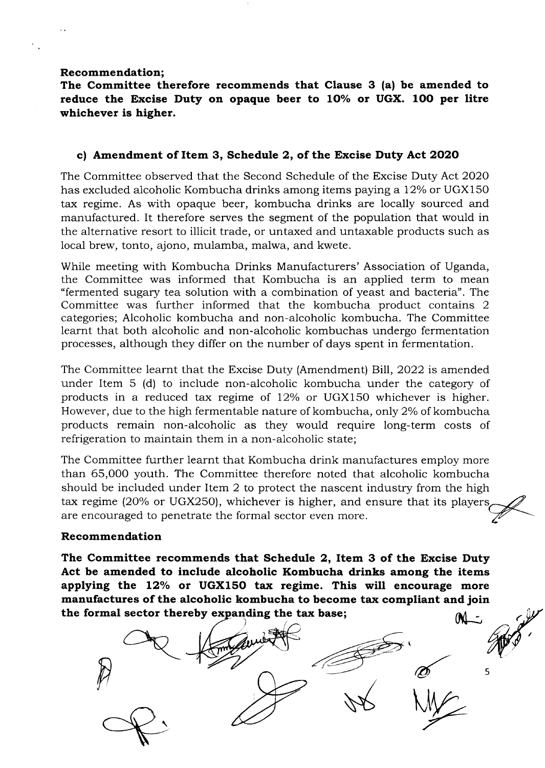#### Recommendation;

The Committee therefore recommends that Clause 3 (a) be amended to reduce the Excise Duty on opaque beer to  $10\%$  or UGX. 100 per litre whichever is higher.

#### c) Amendment of Item 3, Schedule 2, of the Excise Duty Act 2020

The Committee observed that the Second Schedule of the Excise Duty Act 2O2O has excluded alcoholic Kombucha drinks among items paying a 12% or UGX150 tax regime. As with opaque beer, kombucha drinks are locally sourced and manufactured. It therefore serves the segment of the population that would in the alternative resort to illicit trade, or untaxed and untaxable products such as local brew, tonto, ajono, mulamba, malwa, and kwete.

While meeting with Kombucha Drinks Manufacturers' Association of Uganda, the Committee was informed that Kombucha is an applied term to mean "fermented sugary tea solution with a combination of yeast and bacteria". The Committee was further informed that the kombucha product contains <sup>2</sup> categories; Alcoholic kombucha and non-alcoholic kombucha. The Committee learnt that both alcoholic and non-alcoholic kombuchas undergo fermentation processes, although they differ on the number of days spent in fermentation.

The Committee learnt that the Excise Duty (Amendment) Bill, 2022 is amended under Item 5 (d) to include non-alcoholic kombucha under the category of products in a reduced tax regime of  $12\%$  or UGX150 whichever is higher. However, due to the high fermentable nature of kombucha, only 2% of kombucha products remain non-alcoholic as they would require long-term costs of refrigeration to maintain them in a non-alcoholic state;

The Committee further learnt that Kombucha drink manufactures employ more than 65,000 youth. The Committee therefore noted that alcoholic kombucha should be included under Item 2 to protect the nascent industry from the high tax regime (20% or UGX250), whichever is higher, and ensure that its players are encouraged to penetrate the formal sector even more.

#### Recommendation

The Committee recommends that Schedule 2, Item 3 of the Excise Duty Act be amended to include alcoholic Kombucha drinks among the items applying the  $12\%$  or UGX150 tax regime. This will encourage more manufactures of the alcoholic kombucha to become tax compliant and join the formal sector thereby expanding the tax base;  $M_{\text{eff}}$ 

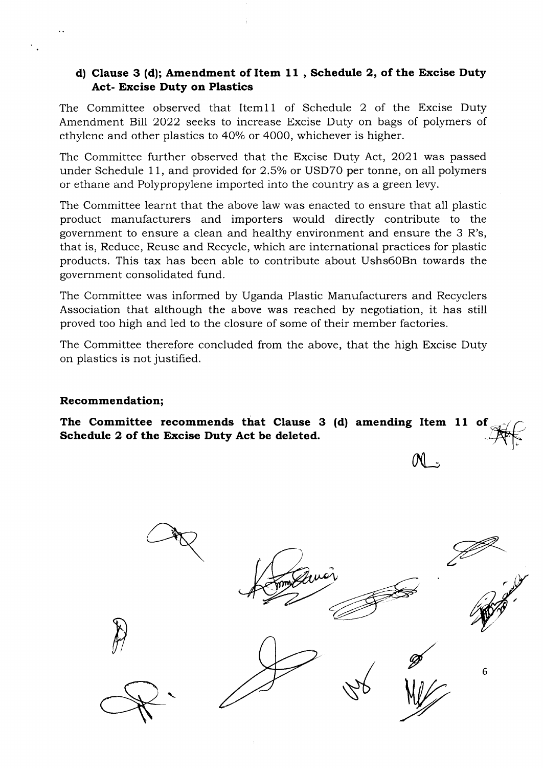## d) Clause 3 (d); Amendment of Item 11, Schedule 2, of the Excise Duty Act- Excise Duty on Plastios

The Committee observed that ltem11 of Schedule 2 of the Excise Duty Amendment Bill 2022 seeks to increase Excise Duty on bags of polymers of ethylene and other plastics to 40% or 4000, whichever is higher.

The Committee further observed that the Excise Duty Act, 2021 was passed under Schedule 11, and provided for 2.5% or USD70 per tonne, on all polymers or ethane and Polypropylene imported into the country as a green levy.

The Committee learnt that the above law was enacted to ensure that all plastic product manufacturers and importers would directly contribute to the government to ensure a clean and heaithy environment and ensure the 3 R's, that is, Reduce, Reuse and Recycle, which are international practices for plastic products. This tax has been able to contribute about Ushs60Bn towards the government consolidated fund.

The Committee was informed by Uganda Plastic Manufacturers and Recyclers Association that although the above was reached by negotiation, it has still proved too high and led to the closure of some of their member factories.

The Committee therefore concluded from the above, that the high Excise Duty on plastics is not justified.

#### Recommendation;

The Committee recommends that Clause 3 (d) amending Item 11 of Schedule 2 of the Excise Duty Act be deleted.

 $\mathcal{H}$ 6 5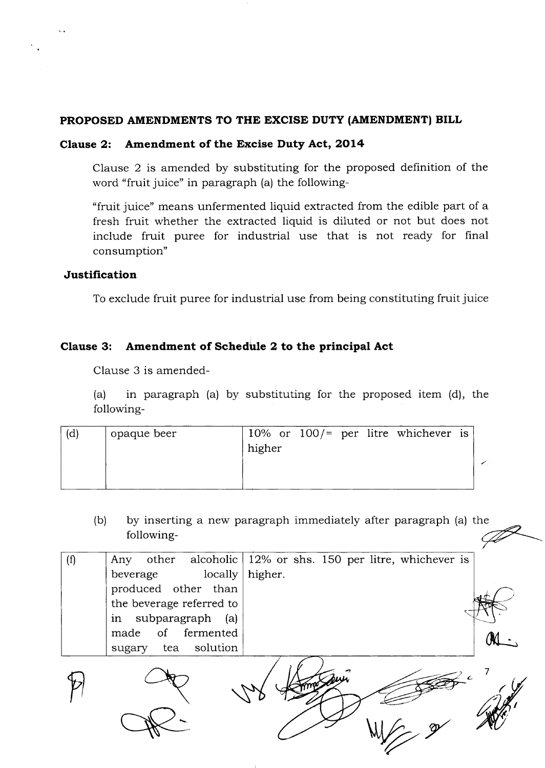#### PROPOSED AMENDMENTS TO THE EXCISE DUTY (AMENDMENT) BILL

#### Clause 2: Amendment of the Excise Duty Act, 2Ol4

Clause 2 is amended by substituting for the proposed definition of the word "fruit juice" in paragraph (a) the following-

"fruit juice" means unfermented liquid extracted from the edible part of a fresh fruit whether the extracted liquid is diluted or not but does not include fruit puree for industrial use that is not ready for final consumption"

#### Justification

 $\ddot{\phantom{0}}$ 

To exclude fruit puree for industrial use from being constituting fruit juice

## Clause 3: Amendment of Schedule 2 to the principal Act

Clause 3 is amended-

(a) in paragraph (a) by substituting for the proposed item (d), the following-

| (d) | opaque beer | higher |  |  |  |  | 10% or $100/$ = per litre whichever is |  |  |
|-----|-------------|--------|--|--|--|--|----------------------------------------|--|--|
|-----|-------------|--------|--|--|--|--|----------------------------------------|--|--|

(b) by inserting a new paragraph immediately after paragraph (a) the following-

| (f) | Any                      | other alcoholic $12\%$ or shs. 150 per litre, whichever is |
|-----|--------------------------|------------------------------------------------------------|
|     | locally<br>beverage      | higher.                                                    |
|     | produced other than      |                                                            |
|     | the beverage referred to |                                                            |
|     | subparagraph (a)<br>in   |                                                            |
|     | made of fermented        |                                                            |
|     | tea solution<br>sugary   |                                                            |
|     |                          |                                                            |
|     |                          |                                                            |

P R W Hang & W

We 2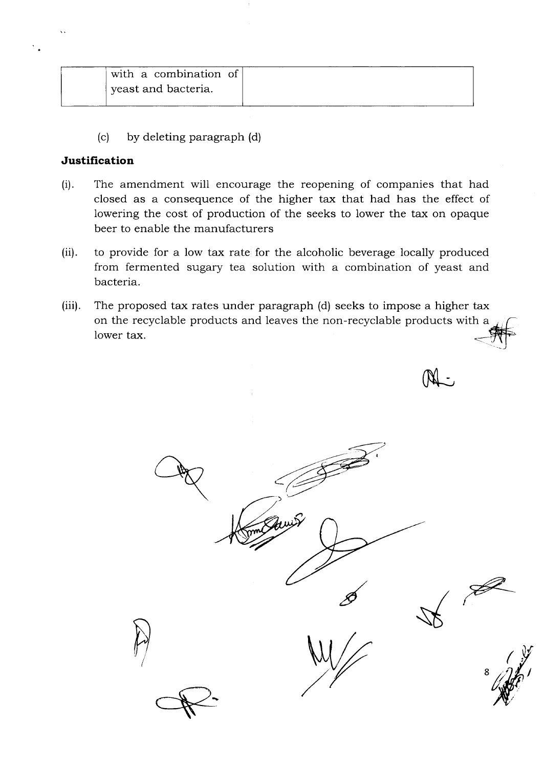| yeast and bacteria. | with a combination of |
|---------------------|-----------------------|
|                     |                       |

(c) by deleting paragraph (d)

#### Justification

- $(i).$ The amendment will encourage the reopening of companies that had closed as a consequence of the higher tax that had has the effect of lowering the cost of production of the seeks to lower the tax on opaque beer to enable the manufacturers
- (ii) to provide for a low tax rate for the alcoholic beverage locally produced from fermented sugary tea solution with a combination of yeast and bacteria.
- $(iii)$ . The proposed tax rates under paragraph (d) seeks to impose a higher tax on the recyclable products and leaves the non-recyclable products with a  $\frac{1}{\sqrt{1-\frac{1}{n}}}$  $\Box$

(NL -

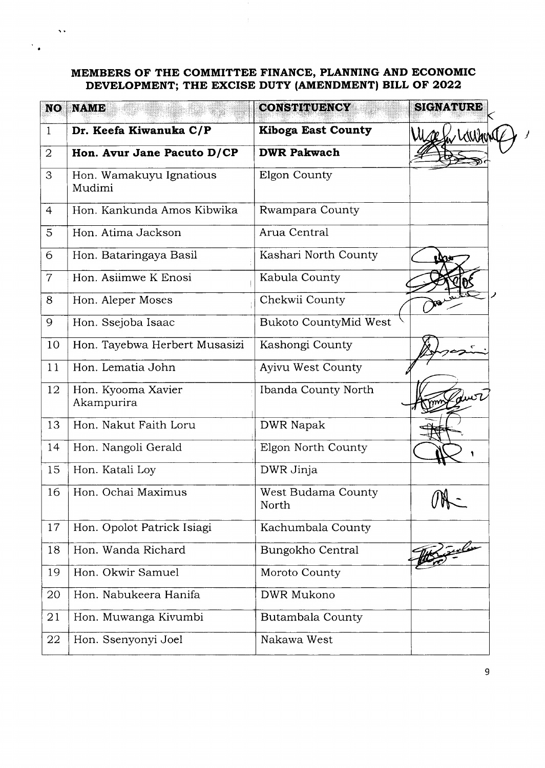#### MEMBERS OF THE COMMITTEE FINANCE, PLANNING AND ECONOMIC DEVELOPMENT; THE EXCISE DUTY (AMENDMENT) BILL OF 2022

 $\bar{\Delta}$  :

 $\ddot{\phantom{0}}$ 

| <b>NO</b>      | <b>NAME</b>                       | <b>CONSTITUENCY</b>         | <b>SIGNATURE</b> |
|----------------|-----------------------------------|-----------------------------|------------------|
| $\mathbf{1}$   | Dr. Keefa Kiwanuka C/P            | <b>Kiboga East County</b>   | Mese hir Lauran  |
| $\overline{2}$ | Hon. Avur Jane Pacuto D/CP        | <b>DWR Pakwach</b>          |                  |
| 3              | Hon. Wamakuyu Ignatious<br>Mudimi | Elgon County                |                  |
| $\overline{4}$ | Hon. Kankunda Amos Kibwika        | Rwampara County             |                  |
| 5              | Hon. Atima Jackson                | Arua Central                |                  |
| 6              | Hon. Bataringaya Basil            | Kashari North County        | <b>Dae</b>       |
| $\overline{7}$ | Hon. Asiimwe K Enosi              | Kabula County               |                  |
| 8              | Hon. Aleper Moses                 | Chekwii County              |                  |
| 9              | Hon. Ssejoba Isaac                | Bukoto CountyMid West       |                  |
| 10             | Hon. Tayebwa Herbert Musasizi     | Kashongi County             |                  |
| 11             | Hon. Lematia John                 | Ayivu West County           |                  |
| 12             | Hon. Kyooma Xavier<br>Akampurira  | Ibanda County North         | Jurt             |
| 13             | Hon. Nakut Faith Loru             | <b>DWR Napak</b>            |                  |
| 14             | Hon. Nangoli Gerald               | Elgon North County          |                  |
| 15             | Hon. Katali Loy                   | DWR Jinja                   |                  |
| 16             | Hon. Ochai Maximus                | West Budama County<br>North |                  |
| 17             | Hon. Opolot Patrick Isiagi        | Kachumbala County           |                  |
| 18             | Hon. Wanda Richard                | Bungokho Central            | W. Julie         |
| 19             | Hon. Okwir Samuel                 | Moroto County               |                  |
| 20             | Hon. Nabukeera Hanifa             | DWR Mukono                  |                  |
| 21             | Hon. Muwanga Kivumbi              | Butambala County            |                  |
| 22             | Hon. Ssenyonyi Joel               | Nakawa West                 |                  |
|                |                                   |                             |                  |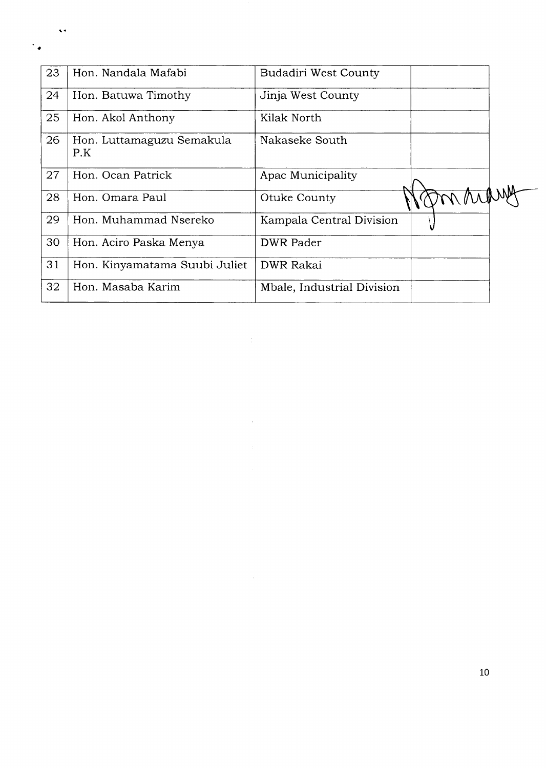| 23 | Hon. Nandala Mafabi              | <b>Budadiri West County</b> |          |  |
|----|----------------------------------|-----------------------------|----------|--|
| 24 | Hon. Batuwa Timothy              | Jinja West County           |          |  |
| 25 | Hon. Akol Anthony                | Kilak North                 |          |  |
| 26 | Hon. Luttamaguzu Semakula<br>P.K | Nakaseke South              |          |  |
| 27 | Hon. Ocan Patrick                | Apac Municipality           |          |  |
| 28 | Hon. Omara Paul                  | Otuke County                | marching |  |
| 29 | Hon. Muhammad Nsereko            | Kampala Central Division    |          |  |
| 30 | Hon. Aciro Paska Menya           | <b>DWR</b> Pader            |          |  |
| 31 | Hon. Kinyamatama Suubi Juliet    | <b>DWR Rakai</b>            |          |  |
| 32 | Hon. Masaba Karim                | Mbale, Industrial Division  |          |  |

 $\frac{1}{2}$  .

 $\mathcal{L}^{\text{max}}_{\text{max}}$  and  $\mathcal{L}^{\text{max}}_{\text{max}}$ 

 $\bar{\mathbf{v}}$ 

 $\ddot{\phantom{0}}$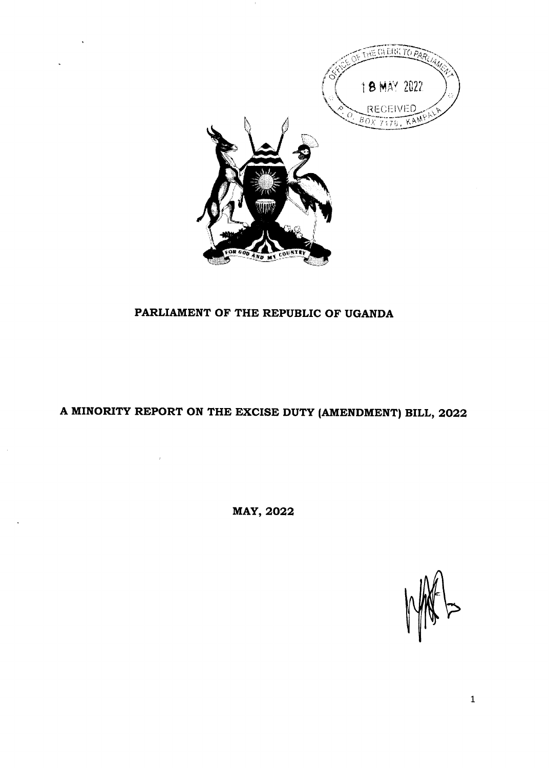

# PARLIAMENT OF THE REPUBLIC OF UGANDA

# A MINORITY REPORT ON THE EXCISE DUTY (AMENDMENT) BILL, 2022

MAY, 2022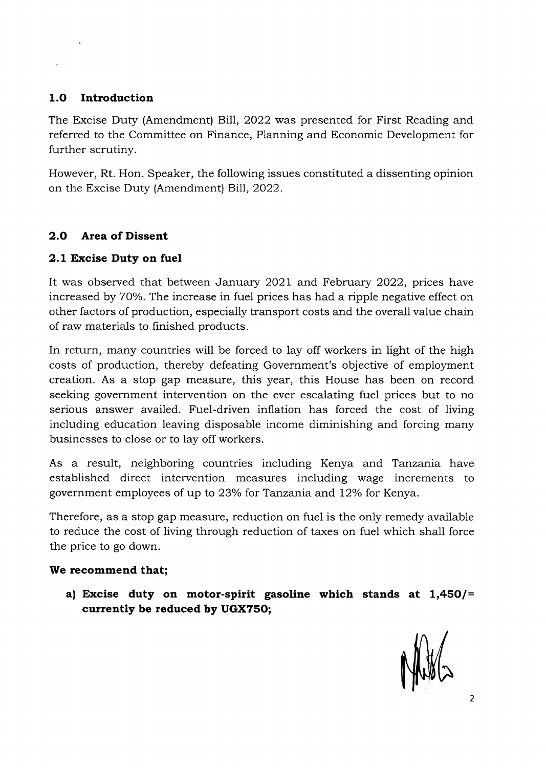## 1.O Introduction

The Excise Duty (Amendment) BiIl, 2022 was presented for First Reading and referred to the Committee on Finance, Planning and Economic Development for further scrutiny.

However, Rt. Hon. Speaker, the following issues constituted a dissenting opinion on the Excise Duty (Amendment) Bill, 2022.

## 2.O Area of Dissent

## 2.1 Excise Duty on fuel

It was observed that between January 2021 and February 2022, prices have increased by 70%. The increase in fuel prices has had a ripple negative effect on other factors of production, especially transport costs and the overall value chain of raw materials to finished products.

In return, many countries will be forced to lay off workers in light of the high costs of production, thereby defeating Government's objective of employment creation. As a stop gap measure, this year, this House has been on record seeking government intervention on the ever escalating fuel prices but to no serious answer availed. Fuel-driven inflation has forced the cost of living including education leaving disposable income diminishing and forcing many businesses to close or to lay off workers.

As a result, neighboring countries including Kenya and Tanzania have established direct intervention measures including wage increments to government employees of up to 23% for Tanzania and 12% for Kenya.

Therefore, as a stop gap measure, reduction on fuel is the only remedy available to reduce the cost of living through reduction of taxes on fuel which shall force the price to go down.

## We recommend that;

a) Excise duty on motor-spirit gasoline which stands at  $1,450$ /= currently be reduced by UGX7SO;

MHS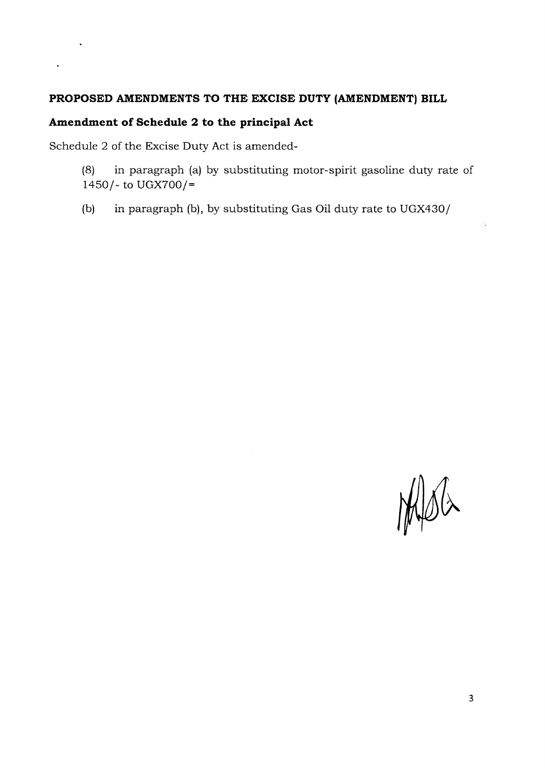## PROPOSED AMENDMENTS TO THE EXCISE DUTY (AMENDMENT) BILL

# Amendment of Schedule 2 to the principal Act

Schedule 2 of the Excise Duty Act is amended-

 $\ddot{\phantom{0}}$ 

- (8) in paragraph (a) by substituting motor-spirit gasoline duty rate of  $1450$  /- to UGX700/=
- (b) in paragraph (b), by substituting Gas Oil duty rate to UGX430/

MSG

ċ,